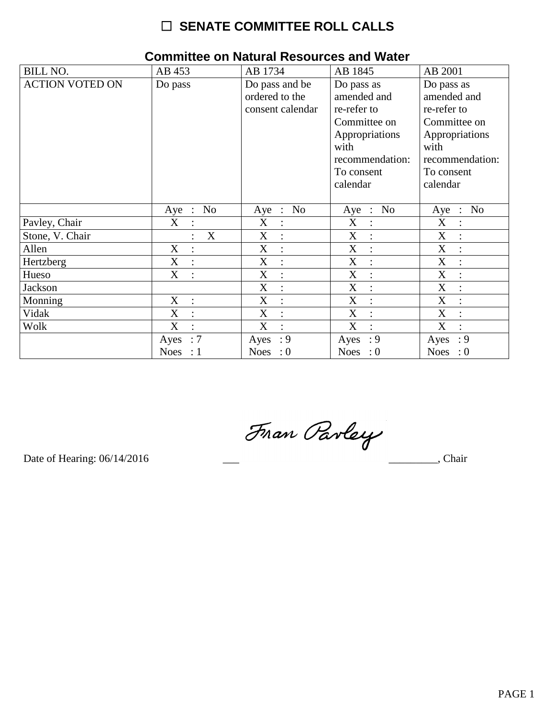# $\Box$  SENATE COMMITTEE ROLL CALLS

| <b>BILL NO.</b>        | AB 453                           | AB 1734                                              | AB 1845                                                                                                                         | AB 2001                                                                                                                         |
|------------------------|----------------------------------|------------------------------------------------------|---------------------------------------------------------------------------------------------------------------------------------|---------------------------------------------------------------------------------------------------------------------------------|
| <b>ACTION VOTED ON</b> | Do pass                          | Do pass and be<br>ordered to the<br>consent calendar | Do pass as<br>amended and<br>re-refer to<br>Committee on<br>Appropriations<br>with<br>recommendation:<br>To consent<br>calendar | Do pass as<br>amended and<br>re-refer to<br>Committee on<br>Appropriations<br>with<br>recommendation:<br>To consent<br>calendar |
|                        | N <sub>o</sub><br>Aye :          | No<br>Aye :                                          | N <sub>o</sub><br>$Aye$ :                                                                                                       | N <sub>o</sub><br>$Aye$ :                                                                                                       |
| Pavley, Chair          | X<br>$\cdot$ :                   | X<br>$\ddot{\cdot}$                                  | X<br>$\overline{\cdot}$                                                                                                         | X<br>$\ddot{\cdot}$                                                                                                             |
| Stone, V. Chair        | X                                | X<br>$\ddot{\cdot}$                                  | X<br>$\ddot{\cdot}$                                                                                                             | X                                                                                                                               |
| Allen                  | X<br>$\ddot{\cdot}$              | X                                                    | X                                                                                                                               | X                                                                                                                               |
| Hertzberg              | X<br>$\ddot{\cdot}$              | X<br>$\ddot{\cdot}$                                  | X<br>$\cdot$                                                                                                                    | X<br>$\ddot{\cdot}$                                                                                                             |
| Hueso                  | $X_{\mathcal{C}}$<br>$\cdot$ :   | X<br>$\ddot{\cdot}$                                  | X<br>$\ddot{\cdot}$                                                                                                             | X                                                                                                                               |
| Jackson                |                                  | X<br>$\ddot{\cdot}$                                  | X<br>$\ddot{\cdot}$                                                                                                             | X<br>$\ddot{\cdot}$                                                                                                             |
| Monning                | $X_{\mathcal{C}}$<br>$\sim 10^7$ | X<br>$\ddot{\cdot}$                                  | X<br>$\ddot{\cdot}$                                                                                                             | X                                                                                                                               |
| Vidak                  | X<br>$\therefore$                | X<br>$\ddot{\cdot}$                                  | X<br>$\ddot{\cdot}$                                                                                                             | X<br>$\ddot{\cdot}$                                                                                                             |
| Wolk                   | X<br>$\ddot{\cdot}$              | X<br>$\overline{\mathcal{C}}$                        | X<br>$\overline{\mathcal{C}}$                                                                                                   | X                                                                                                                               |
|                        | : 7<br>Ayes                      | : 9<br>Ayes                                          | $\cdot$ 9<br>Ayes                                                                                                               | : 9<br>Ayes                                                                                                                     |
|                        | Noes : $1$                       | Noes : $0$                                           | Noes : $0$                                                                                                                      | <b>Noes</b><br>$\therefore 0$                                                                                                   |

### **Committee on Natural Resources and Water**

Fran Parley

Date of Hearing: 06/14/2016

Chair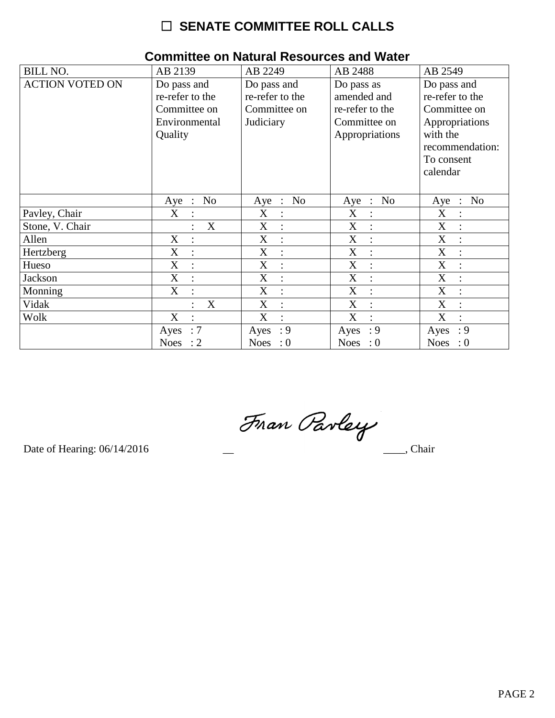# $\Box$  SENATE COMMITTEE ROLL CALLS

| <b>BILL NO.</b>        | AB 2139                             | AB 2249                             | AB 2488                                 | AB 2549                                 |  |  |  |
|------------------------|-------------------------------------|-------------------------------------|-----------------------------------------|-----------------------------------------|--|--|--|
| <b>ACTION VOTED ON</b> | Do pass and                         | Do pass and                         | Do pass as                              | Do pass and                             |  |  |  |
|                        | re-refer to the                     | re-refer to the                     | amended and                             | re-refer to the                         |  |  |  |
|                        | Committee on                        | Committee on                        | re-refer to the                         | Committee on                            |  |  |  |
|                        | Environmental                       | Judiciary                           | Committee on                            | Appropriations                          |  |  |  |
|                        | Quality                             |                                     | Appropriations                          | with the                                |  |  |  |
|                        |                                     |                                     |                                         | recommendation:                         |  |  |  |
|                        |                                     |                                     |                                         | To consent                              |  |  |  |
|                        |                                     |                                     |                                         | calendar                                |  |  |  |
|                        |                                     |                                     |                                         |                                         |  |  |  |
|                        | No<br>Aye<br>$\ddot{\phantom{1}}$ : | N <sub>o</sub><br>Aye<br>$\sim$ 1.1 | N <sub>o</sub><br>Aye<br>$\mathbb{R}^2$ | N <sub>o</sub><br>Aye<br>$\ddot{\cdot}$ |  |  |  |
| Pavley, Chair          | X<br>$\ddot{\cdot}$                 | X<br>$\ddot{\cdot}$                 | X                                       | X                                       |  |  |  |
| Stone, V. Chair        | X                                   | X<br>$\ddot{\cdot}$                 | X                                       | X                                       |  |  |  |
| Allen                  | X                                   | X<br>$\ddot{\cdot}$                 | X<br>$\dot{\mathbb{I}}$                 | X<br>$\ddot{\cdot}$                     |  |  |  |
| Hertzberg              | X<br>$\ddot{\cdot}$                 | X<br>$\ddot{\cdot}$                 | X                                       | X                                       |  |  |  |
| Hueso                  | $\mathbf X$<br>$\ddot{\cdot}$       | X<br>$\ddot{\cdot}$                 | X                                       | X                                       |  |  |  |
| Jackson                | X<br>$\ddot{\cdot}$                 | X<br>$\ddot{\cdot}$                 | X<br>$\ddot{\cdot}$                     | X<br>$\ddot{\cdot}$                     |  |  |  |
| Monning                | X<br>$\ddot{\cdot}$                 | X<br>$\ddot{\cdot}$                 | X<br>$\ddot{\cdot}$                     | X                                       |  |  |  |
| Vidak                  | X                                   | X<br>$\ddot{\cdot}$                 | X<br>÷                                  | X                                       |  |  |  |
| Wolk                   | X                                   | X<br>$\ddot{\cdot}$                 | X                                       | $\boldsymbol{X}$<br>$\bullet$           |  |  |  |
|                        | :7<br>Ayes                          | : 9<br>Ayes                         | : 9<br>Ayes                             | : 9<br>Ayes                             |  |  |  |
|                        | Noes : $2$                          | Noes : $0$                          | Noes : $0$                              | <b>Noes</b><br>$\therefore 0$           |  |  |  |

#### **Committee on Natural Resources and Water**

Fran Pavley

Date of Hearing: 06/14/2016

 $\overline{\phantom{a}}$ , Chair